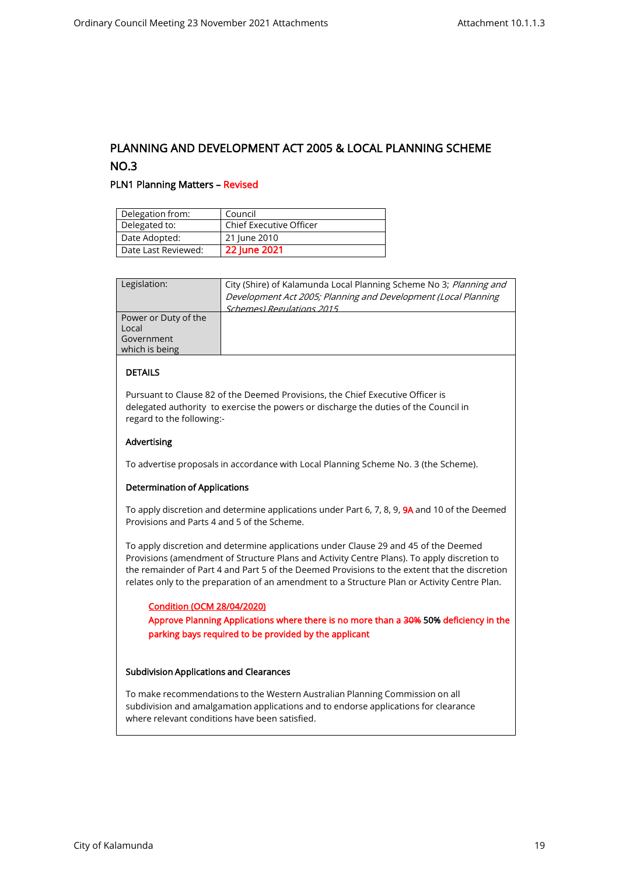# PLANNING AND DEVELOPMENT ACT 2005 & LOCAL PLANNING SCHEME NO.3

# PLN1 Planning Matters – Revised

| Delegation from:    | Council                        |
|---------------------|--------------------------------|
| Delegated to:       | <b>Chief Executive Officer</b> |
| Date Adopted:       | 21 June 2010                   |
| Date Last Reviewed: | 22 June 2021                   |

| Legislation:                                | City (Shire) of Kalamunda Local Planning Scheme No 3; Planning and<br>Development Act 2005; Planning and Development (Local Planning<br>Schemes) Regulations 2015 |
|---------------------------------------------|-------------------------------------------------------------------------------------------------------------------------------------------------------------------|
| Power or Duty of the<br>Local<br>Government |                                                                                                                                                                   |
| which is being                              |                                                                                                                                                                   |

## DETAILS

Pursuant to Clause 82 of the Deemed Provisions, the Chief Executive Officer is delegated authority to exercise the powers or discharge the duties of the Council in regard to the following:-

# Advertising

To advertise proposals in accordance with Local Planning Scheme No. 3 (the Scheme).

#### Determination of Applications

To apply discretion and determine applications under Part 6, 7, 8, 9, 9A and 10 of the Deemed Provisions and Parts 4 and 5 of the Scheme.

To apply discretion and determine applications under Clause 29 and 45 of the Deemed Provisions (amendment of Structure Plans and Activity Centre Plans). To apply discretion to the remainder of Part 4 and Part 5 of the Deemed Provisions to the extent that the discretion relates only to the preparation of an amendment to a Structure Plan or Activity Centre Plan.

#### Condition (OCM 28/04/2020)

Approve Planning Applications where there is no more than a 30% 50% deficiency in the parking bays required to be provided by the applicant

#### Subdivision Applications and Clearances

To make recommendations to the Western Australian Planning Commission on all subdivision and amalgamation applications and to endorse applications for clearance where relevant conditions have been satisfied.